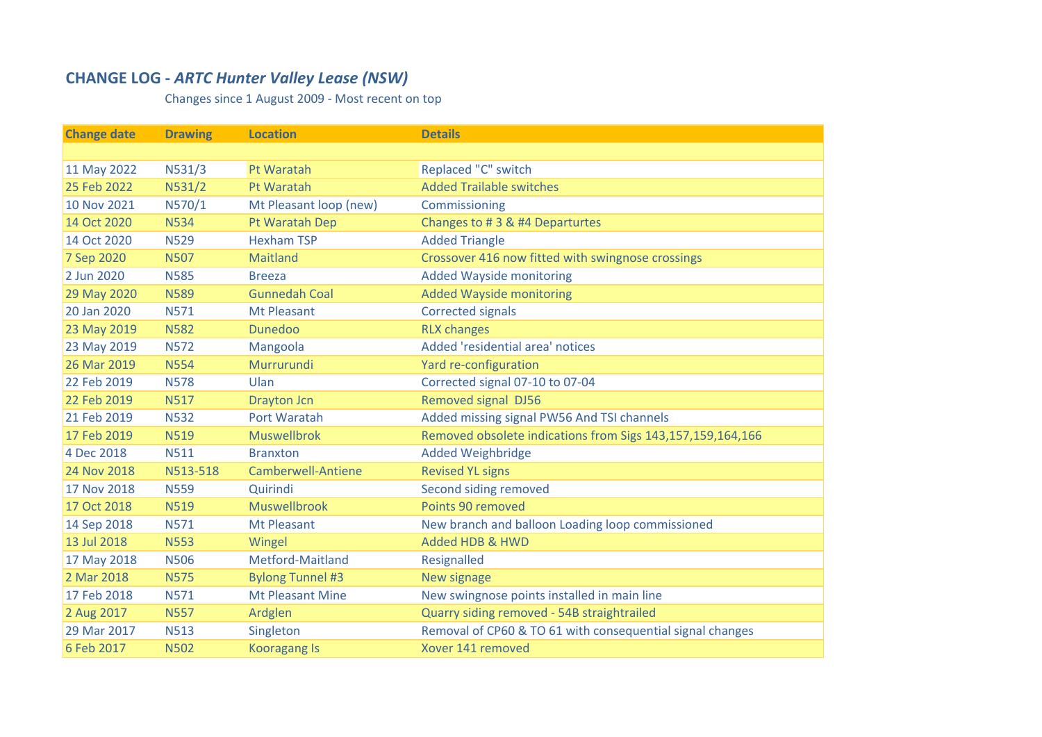## **CHANGE LOG ‐** *ARTC Hunter Valley Lease (NSW)*

Changes since 1 August 2009 ‐ Most recent on top

| <b>Change date</b> | <b>Drawing</b> | <b>Location</b>           | <b>Details</b>                                             |
|--------------------|----------------|---------------------------|------------------------------------------------------------|
|                    |                |                           |                                                            |
| 11 May 2022        | N531/3         | Pt Waratah                | Replaced "C" switch                                        |
| 25 Feb 2022        | N531/2         | Pt Waratah                | <b>Added Trailable switches</b>                            |
| 10 Nov 2021        | N570/1         | Mt Pleasant loop (new)    | Commissioning                                              |
| 14 Oct 2020        | <b>N534</b>    | Pt Waratah Dep            | Changes to #3 & #4 Departurtes                             |
| 14 Oct 2020        | <b>N529</b>    | <b>Hexham TSP</b>         | <b>Added Triangle</b>                                      |
| 7 Sep 2020         | <b>N507</b>    | <b>Maitland</b>           | Crossover 416 now fitted with swingnose crossings          |
| 2 Jun 2020         | <b>N585</b>    | <b>Breeza</b>             | <b>Added Wayside monitoring</b>                            |
| 29 May 2020        | <b>N589</b>    | <b>Gunnedah Coal</b>      | <b>Added Wayside monitoring</b>                            |
| 20 Jan 2020        | <b>N571</b>    | <b>Mt Pleasant</b>        | <b>Corrected signals</b>                                   |
| 23 May 2019        | <b>N582</b>    | <b>Dunedoo</b>            | <b>RLX changes</b>                                         |
| 23 May 2019        | <b>N572</b>    | Mangoola                  | Added 'residential area' notices                           |
| 26 Mar 2019        | <b>N554</b>    | Murrurundi                | Yard re-configuration                                      |
| 22 Feb 2019        | <b>N578</b>    | Ulan                      | Corrected signal 07-10 to 07-04                            |
| 22 Feb 2019        | <b>N517</b>    | <b>Drayton Jcn</b>        | <b>Removed signal DJ56</b>                                 |
| 21 Feb 2019        | <b>N532</b>    | Port Waratah              | Added missing signal PW56 And TSI channels                 |
| 17 Feb 2019        | <b>N519</b>    | <b>Muswellbrok</b>        | Removed obsolete indications from Sigs 143,157,159,164,166 |
| 4 Dec 2018         | <b>N511</b>    | <b>Branxton</b>           | <b>Added Weighbridge</b>                                   |
| 24 Nov 2018        | N513-518       | <b>Camberwell-Antiene</b> | <b>Revised YL signs</b>                                    |
| 17 Nov 2018        | <b>N559</b>    | Quirindi                  | Second siding removed                                      |
| 17 Oct 2018        | <b>N519</b>    | <b>Muswellbrook</b>       | Points 90 removed                                          |
| 14 Sep 2018        | <b>N571</b>    | <b>Mt Pleasant</b>        | New branch and balloon Loading loop commissioned           |
| 13 Jul 2018        | <b>N553</b>    | Wingel                    | <b>Added HDB &amp; HWD</b>                                 |
| 17 May 2018        | <b>N506</b>    | Metford-Maitland          | Resignalled                                                |
| 2 Mar 2018         | <b>N575</b>    | <b>Bylong Tunnel #3</b>   | New signage                                                |
| 17 Feb 2018        | <b>N571</b>    | <b>Mt Pleasant Mine</b>   | New swingnose points installed in main line                |
| 2 Aug 2017         | <b>N557</b>    | Ardglen                   | Quarry siding removed - 54B straightrailed                 |
| 29 Mar 2017        | <b>N513</b>    | Singleton                 | Removal of CP60 & TO 61 with consequential signal changes  |
| 6 Feb 2017         | <b>N502</b>    | <b>Kooragang Is</b>       | Xover 141 removed                                          |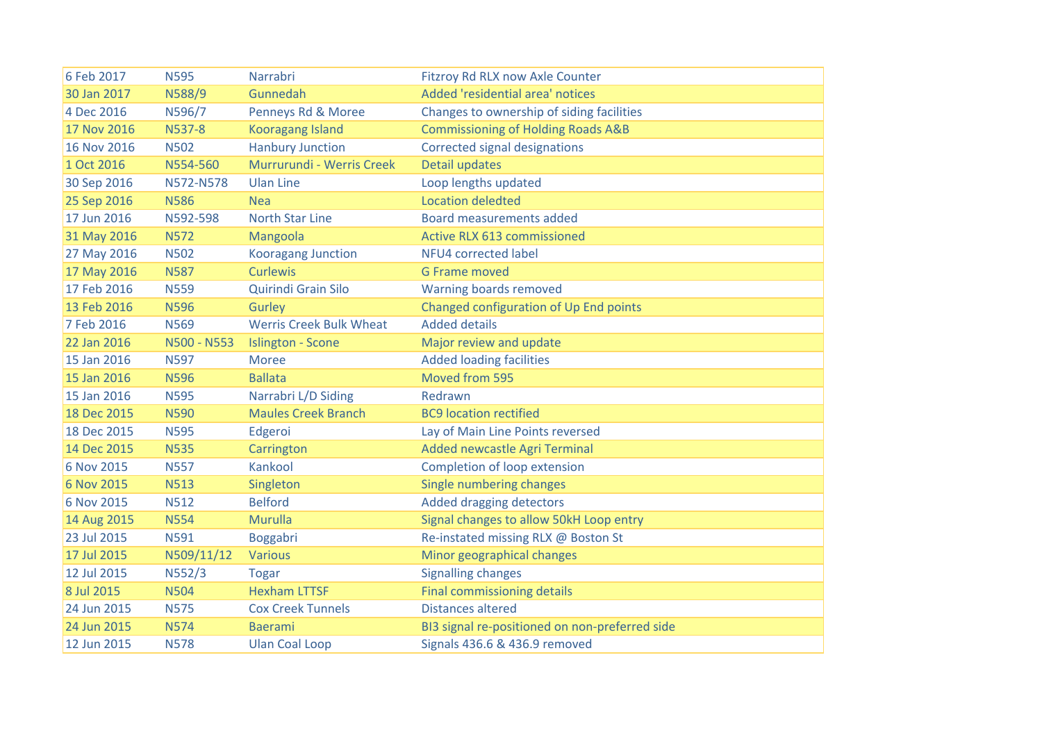| 6 Feb 2017  | <b>N595</b> | Narrabri                       | Fitzroy Rd RLX now Axle Counter                |
|-------------|-------------|--------------------------------|------------------------------------------------|
| 30 Jan 2017 | N588/9      | Gunnedah                       | Added 'residential area' notices               |
| 4 Dec 2016  | N596/7      | Penneys Rd & Moree             | Changes to ownership of siding facilities      |
| 17 Nov 2016 | N537-8      | <b>Kooragang Island</b>        | <b>Commissioning of Holding Roads A&amp;B</b>  |
| 16 Nov 2016 | <b>N502</b> | <b>Hanbury Junction</b>        | Corrected signal designations                  |
| 1 Oct 2016  | N554-560    | Murrurundi - Werris Creek      | <b>Detail updates</b>                          |
| 30 Sep 2016 | N572-N578   | <b>Ulan Line</b>               | Loop lengths updated                           |
| 25 Sep 2016 | <b>N586</b> | <b>Nea</b>                     | <b>Location deledted</b>                       |
| 17 Jun 2016 | N592-598    | <b>North Star Line</b>         | <b>Board measurements added</b>                |
| 31 May 2016 | <b>N572</b> | Mangoola                       | <b>Active RLX 613 commissioned</b>             |
| 27 May 2016 | <b>N502</b> | <b>Kooragang Junction</b>      | <b>NFU4 corrected label</b>                    |
| 17 May 2016 | <b>N587</b> | <b>Curlewis</b>                | <b>G Frame moved</b>                           |
| 17 Feb 2016 | <b>N559</b> | Quirindi Grain Silo            | Warning boards removed                         |
| 13 Feb 2016 | <b>N596</b> | Gurley                         | Changed configuration of Up End points         |
| 7 Feb 2016  | <b>N569</b> | <b>Werris Creek Bulk Wheat</b> | <b>Added details</b>                           |
| 22 Jan 2016 | N500 - N553 | <b>Islington - Scone</b>       | Major review and update                        |
| 15 Jan 2016 | <b>N597</b> | <b>Moree</b>                   | <b>Added loading facilities</b>                |
| 15 Jan 2016 | <b>N596</b> | <b>Ballata</b>                 | Moved from 595                                 |
| 15 Jan 2016 | <b>N595</b> | Narrabri L/D Siding            | Redrawn                                        |
| 18 Dec 2015 | <b>N590</b> | <b>Maules Creek Branch</b>     | <b>BC9</b> location rectified                  |
| 18 Dec 2015 | <b>N595</b> | Edgeroi                        | Lay of Main Line Points reversed               |
| 14 Dec 2015 | <b>N535</b> | Carrington                     | Added newcastle Agri Terminal                  |
| 6 Nov 2015  | <b>N557</b> | Kankool                        | Completion of loop extension                   |
| 6 Nov 2015  | <b>N513</b> | Singleton                      | Single numbering changes                       |
| 6 Nov 2015  | <b>N512</b> | <b>Belford</b>                 | Added dragging detectors                       |
| 14 Aug 2015 | <b>N554</b> | Murulla                        | Signal changes to allow 50kH Loop entry        |
| 23 Jul 2015 | N591        | Boggabri                       | Re-instated missing RLX @ Boston St            |
| 17 Jul 2015 | N509/11/12  | <b>Various</b>                 | Minor geographical changes                     |
| 12 Jul 2015 | N552/3      | <b>Togar</b>                   | <b>Signalling changes</b>                      |
| 8 Jul 2015  | <b>N504</b> | <b>Hexham LTTSF</b>            | <b>Final commissioning details</b>             |
| 24 Jun 2015 | <b>N575</b> | <b>Cox Creek Tunnels</b>       | <b>Distances altered</b>                       |
| 24 Jun 2015 | <b>N574</b> | <b>Baerami</b>                 | BI3 signal re-positioned on non-preferred side |
| 12 Jun 2015 | <b>N578</b> | <b>Ulan Coal Loop</b>          | Signals 436.6 & 436.9 removed                  |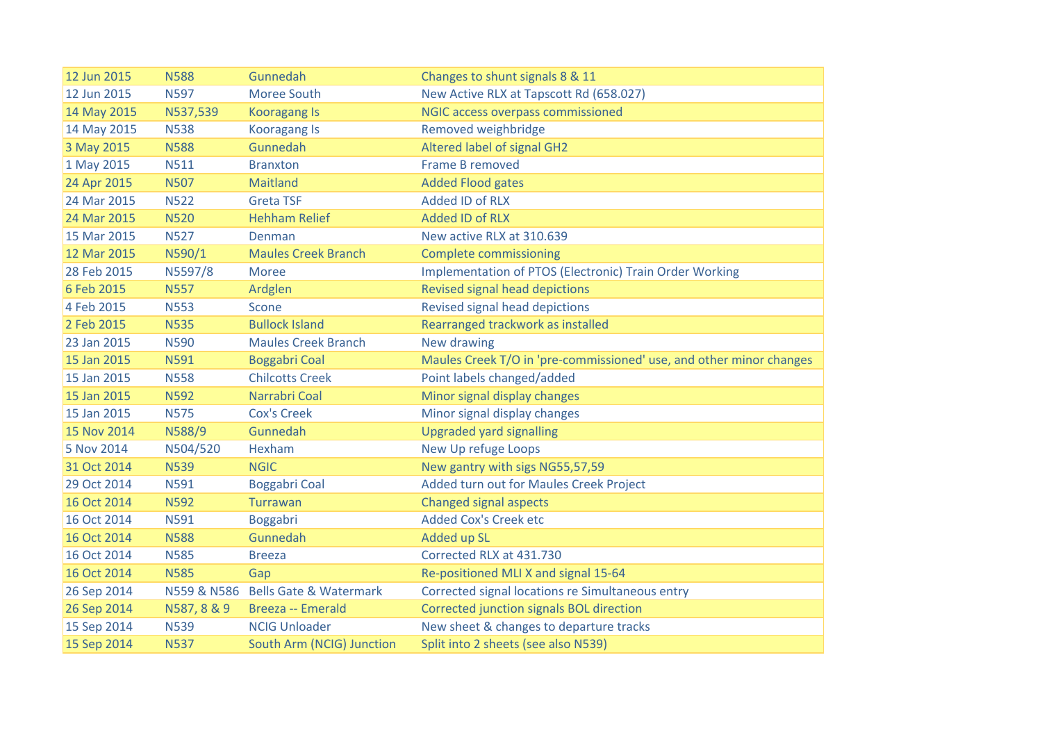| 12 Jun 2015 | <b>N588</b> | Gunnedah                           | Changes to shunt signals 8 & 11                                     |
|-------------|-------------|------------------------------------|---------------------------------------------------------------------|
| 12 Jun 2015 | <b>N597</b> | Moree South                        | New Active RLX at Tapscott Rd (658.027)                             |
| 14 May 2015 | N537,539    | <b>Kooragang Is</b>                | <b>NGIC access overpass commissioned</b>                            |
| 14 May 2015 | <b>N538</b> | <b>Kooragang Is</b>                | Removed weighbridge                                                 |
| 3 May 2015  | <b>N588</b> | Gunnedah                           | Altered label of signal GH2                                         |
| 1 May 2015  | <b>N511</b> | <b>Branxton</b>                    | <b>Frame B removed</b>                                              |
| 24 Apr 2015 | <b>N507</b> | Maitland                           | <b>Added Flood gates</b>                                            |
| 24 Mar 2015 | <b>N522</b> | <b>Greta TSF</b>                   | <b>Added ID of RLX</b>                                              |
| 24 Mar 2015 | <b>N520</b> | <b>Hehham Relief</b>               | <b>Added ID of RLX</b>                                              |
| 15 Mar 2015 | <b>N527</b> | Denman                             | New active RLX at 310.639                                           |
| 12 Mar 2015 | N590/1      | <b>Maules Creek Branch</b>         | <b>Complete commissioning</b>                                       |
| 28 Feb 2015 | N5597/8     | <b>Moree</b>                       | <b>Implementation of PTOS (Electronic) Train Order Working</b>      |
| 6 Feb 2015  | <b>N557</b> | Ardglen                            | Revised signal head depictions                                      |
| 4 Feb 2015  | <b>N553</b> | Scone                              | Revised signal head depictions                                      |
| 2 Feb 2015  | <b>N535</b> | <b>Bullock Island</b>              | Rearranged trackwork as installed                                   |
| 23 Jan 2015 | <b>N590</b> | <b>Maules Creek Branch</b>         | New drawing                                                         |
| 15 Jan 2015 | N591        | <b>Boggabri Coal</b>               | Maules Creek T/O in 'pre-commissioned' use, and other minor changes |
| 15 Jan 2015 | <b>N558</b> | <b>Chilcotts Creek</b>             | Point labels changed/added                                          |
| 15 Jan 2015 | <b>N592</b> | Narrabri Coal                      | Minor signal display changes                                        |
| 15 Jan 2015 | <b>N575</b> | <b>Cox's Creek</b>                 | Minor signal display changes                                        |
| 15 Nov 2014 | N588/9      | Gunnedah                           | <b>Upgraded yard signalling</b>                                     |
| 5 Nov 2014  | N504/520    | Hexham                             | New Up refuge Loops                                                 |
| 31 Oct 2014 | <b>N539</b> | <b>NGIC</b>                        | New gantry with sigs NG55,57,59                                     |
| 29 Oct 2014 | N591        | <b>Boggabri Coal</b>               | Added turn out for Maules Creek Project                             |
| 16 Oct 2014 | <b>N592</b> | Turrawan                           | <b>Changed signal aspects</b>                                       |
| 16 Oct 2014 | <b>N591</b> | Boggabri                           | <b>Added Cox's Creek etc</b>                                        |
| 16 Oct 2014 | <b>N588</b> | Gunnedah                           | Added up SL                                                         |
| 16 Oct 2014 | <b>N585</b> | <b>Breeza</b>                      | Corrected RLX at 431.730                                            |
| 16 Oct 2014 | <b>N585</b> | Gap                                | Re-positioned MLI X and signal 15-64                                |
| 26 Sep 2014 |             | N559 & N586 Bells Gate & Watermark | Corrected signal locations re Simultaneous entry                    |
| 26 Sep 2014 | N587, 8 & 9 | <b>Breeza -- Emerald</b>           | Corrected junction signals BOL direction                            |
| 15 Sep 2014 | <b>N539</b> | <b>NCIG Unloader</b>               | New sheet & changes to departure tracks                             |
| 15 Sep 2014 | <b>N537</b> | South Arm (NCIG) Junction          | Split into 2 sheets (see also N539)                                 |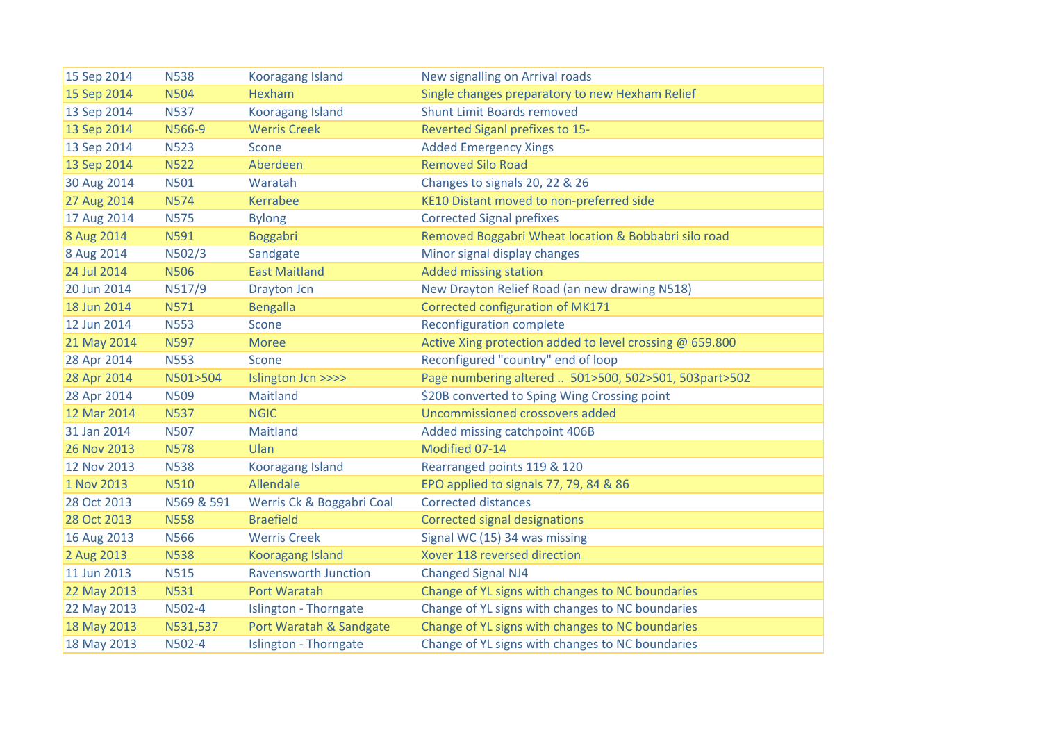| 15 Sep 2014 | <b>N538</b> | <b>Kooragang Island</b>      | New signalling on Arrival roads                          |
|-------------|-------------|------------------------------|----------------------------------------------------------|
| 15 Sep 2014 | <b>N504</b> | Hexham                       | Single changes preparatory to new Hexham Relief          |
| 13 Sep 2014 | <b>N537</b> | <b>Kooragang Island</b>      | <b>Shunt Limit Boards removed</b>                        |
| 13 Sep 2014 | N566-9      | <b>Werris Creek</b>          | Reverted Siganl prefixes to 15-                          |
| 13 Sep 2014 | <b>N523</b> | Scone                        | <b>Added Emergency Xings</b>                             |
| 13 Sep 2014 | <b>N522</b> | Aberdeen                     | <b>Removed Silo Road</b>                                 |
| 30 Aug 2014 | <b>N501</b> | Waratah                      | Changes to signals 20, 22 & 26                           |
| 27 Aug 2014 | <b>N574</b> | Kerrabee                     | KE10 Distant moved to non-preferred side                 |
| 17 Aug 2014 | <b>N575</b> | <b>Bylong</b>                | <b>Corrected Signal prefixes</b>                         |
| 8 Aug 2014  | N591        | <b>Boggabri</b>              | Removed Boggabri Wheat location & Bobbabri silo road     |
| 8 Aug 2014  | N502/3      | Sandgate                     | Minor signal display changes                             |
| 24 Jul 2014 | <b>N506</b> | <b>East Maitland</b>         | <b>Added missing station</b>                             |
| 20 Jun 2014 | N517/9      | Drayton Jcn                  | New Drayton Relief Road (an new drawing N518)            |
| 18 Jun 2014 | <b>N571</b> | <b>Bengalla</b>              | Corrected configuration of MK171                         |
| 12 Jun 2014 | <b>N553</b> | Scone                        | <b>Reconfiguration complete</b>                          |
| 21 May 2014 | <b>N597</b> | <b>Moree</b>                 | Active Xing protection added to level crossing @ 659.800 |
| 28 Apr 2014 | <b>N553</b> | Scone                        | Reconfigured "country" end of loop                       |
| 28 Apr 2014 | N501>504    | Islington Jcn >>>>           | Page numbering altered  501>500, 502>501, 503part>502    |
| 28 Apr 2014 | <b>N509</b> | Maitland                     | \$20B converted to Sping Wing Crossing point             |
| 12 Mar 2014 | <b>N537</b> | <b>NGIC</b>                  | Uncommissioned crossovers added                          |
| 31 Jan 2014 | <b>N507</b> | Maitland                     | Added missing catchpoint 406B                            |
| 26 Nov 2013 | <b>N578</b> | Ulan                         | Modified 07-14                                           |
| 12 Nov 2013 | <b>N538</b> | <b>Kooragang Island</b>      | Rearranged points 119 & 120                              |
| 1 Nov 2013  | <b>N510</b> | Allendale                    | EPO applied to signals 77, 79, 84 & 86                   |
| 28 Oct 2013 | N569 & 591  | Werris Ck & Boggabri Coal    | <b>Corrected distances</b>                               |
| 28 Oct 2013 | <b>N558</b> | <b>Braefield</b>             | <b>Corrected signal designations</b>                     |
| 16 Aug 2013 | <b>N566</b> | <b>Werris Creek</b>          | Signal WC (15) 34 was missing                            |
| 2 Aug 2013  | <b>N538</b> | <b>Kooragang Island</b>      | Xover 118 reversed direction                             |
| 11 Jun 2013 | <b>N515</b> | <b>Ravensworth Junction</b>  | <b>Changed Signal NJ4</b>                                |
| 22 May 2013 | <b>N531</b> | Port Waratah                 | Change of YL signs with changes to NC boundaries         |
| 22 May 2013 | N502-4      | Islington - Thorngate        | Change of YL signs with changes to NC boundaries         |
| 18 May 2013 | N531,537    | Port Waratah & Sandgate      | Change of YL signs with changes to NC boundaries         |
| 18 May 2013 | N502-4      | <b>Islington - Thorngate</b> | Change of YL signs with changes to NC boundaries         |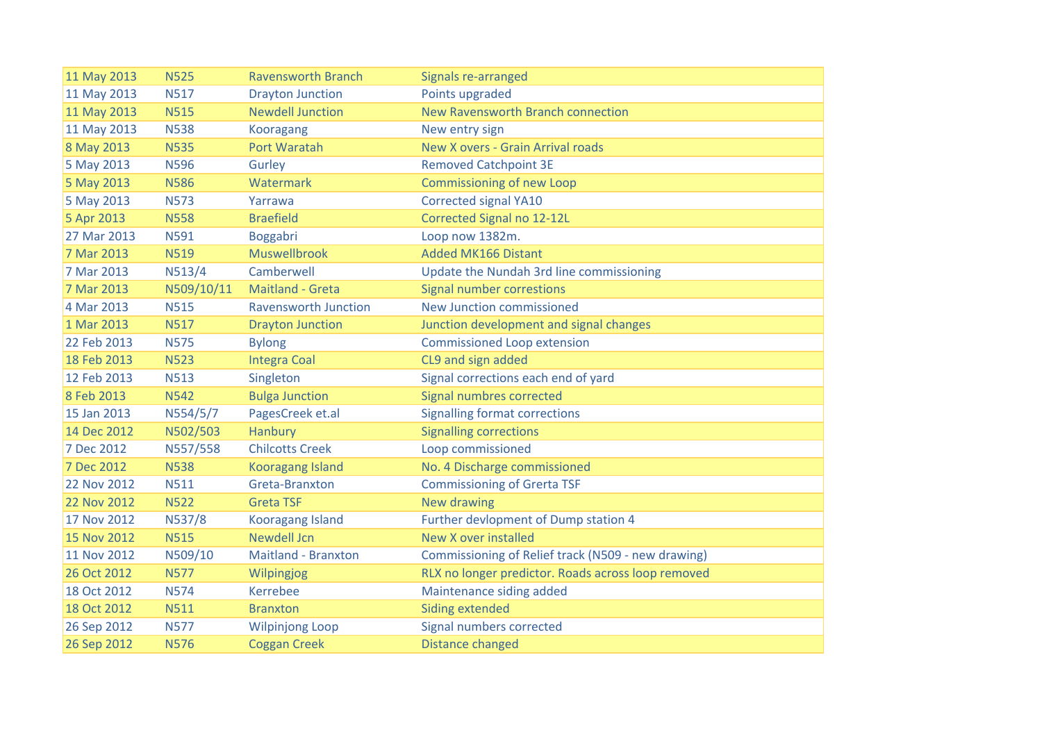| 11 May 2013 | <b>N525</b> | <b>Ravensworth Branch</b>   | Signals re-arranged                                |
|-------------|-------------|-----------------------------|----------------------------------------------------|
| 11 May 2013 | <b>N517</b> | <b>Drayton Junction</b>     | Points upgraded                                    |
| 11 May 2013 | <b>N515</b> | <b>Newdell Junction</b>     | New Ravensworth Branch connection                  |
| 11 May 2013 | <b>N538</b> | <b>Kooragang</b>            | New entry sign                                     |
| 8 May 2013  | <b>N535</b> | Port Waratah                | New X overs - Grain Arrival roads                  |
| 5 May 2013  | <b>N596</b> | Gurley                      | <b>Removed Catchpoint 3E</b>                       |
| 5 May 2013  | <b>N586</b> | Watermark                   | <b>Commissioning of new Loop</b>                   |
| 5 May 2013  | <b>N573</b> | Yarrawa                     | <b>Corrected signal YA10</b>                       |
| 5 Apr 2013  | <b>N558</b> | <b>Braefield</b>            | Corrected Signal no 12-12L                         |
| 27 Mar 2013 | <b>N591</b> | Boggabri                    | Loop now 1382m.                                    |
| 7 Mar 2013  | <b>N519</b> | <b>Muswellbrook</b>         | <b>Added MK166 Distant</b>                         |
| 7 Mar 2013  | N513/4      | Camberwell                  | Update the Nundah 3rd line commissioning           |
| 7 Mar 2013  | N509/10/11  | Maitland - Greta            | <b>Signal number correstions</b>                   |
| 4 Mar 2013  | <b>N515</b> | <b>Ravensworth Junction</b> | New Junction commissioned                          |
| 1 Mar 2013  | <b>N517</b> | <b>Drayton Junction</b>     | Junction development and signal changes            |
| 22 Feb 2013 | <b>N575</b> | <b>Bylong</b>               | <b>Commissioned Loop extension</b>                 |
| 18 Feb 2013 | <b>N523</b> | <b>Integra Coal</b>         | CL9 and sign added                                 |
| 12 Feb 2013 | <b>N513</b> | Singleton                   | Signal corrections each end of yard                |
| 8 Feb 2013  | <b>N542</b> | <b>Bulga Junction</b>       | Signal numbres corrected                           |
| 15 Jan 2013 | N554/5/7    | PagesCreek et.al            | <b>Signalling format corrections</b>               |
| 14 Dec 2012 | N502/503    | Hanbury                     | <b>Signalling corrections</b>                      |
| 7 Dec 2012  | N557/558    | <b>Chilcotts Creek</b>      | Loop commissioned                                  |
| 7 Dec 2012  | <b>N538</b> | <b>Kooragang Island</b>     | No. 4 Discharge commissioned                       |
| 22 Nov 2012 | <b>N511</b> | Greta-Branxton              | <b>Commissioning of Grerta TSF</b>                 |
| 22 Nov 2012 | <b>N522</b> | <b>Greta TSF</b>            | New drawing                                        |
| 17 Nov 2012 | N537/8      | <b>Kooragang Island</b>     | Further devlopment of Dump station 4               |
| 15 Nov 2012 | <b>N515</b> | <b>Newdell Jcn</b>          | New X over installed                               |
| 11 Nov 2012 | N509/10     | <b>Maitland - Branxton</b>  | Commissioning of Relief track (N509 - new drawing) |
| 26 Oct 2012 | <b>N577</b> | Wilpingjog                  | RLX no longer predictor. Roads across loop removed |
| 18 Oct 2012 | <b>N574</b> | Kerrebee                    | Maintenance siding added                           |
| 18 Oct 2012 | <b>N511</b> | <b>Branxton</b>             | Siding extended                                    |
| 26 Sep 2012 | <b>N577</b> | <b>Wilpinjong Loop</b>      | Signal numbers corrected                           |
| 26 Sep 2012 | <b>N576</b> | <b>Coggan Creek</b>         | <b>Distance changed</b>                            |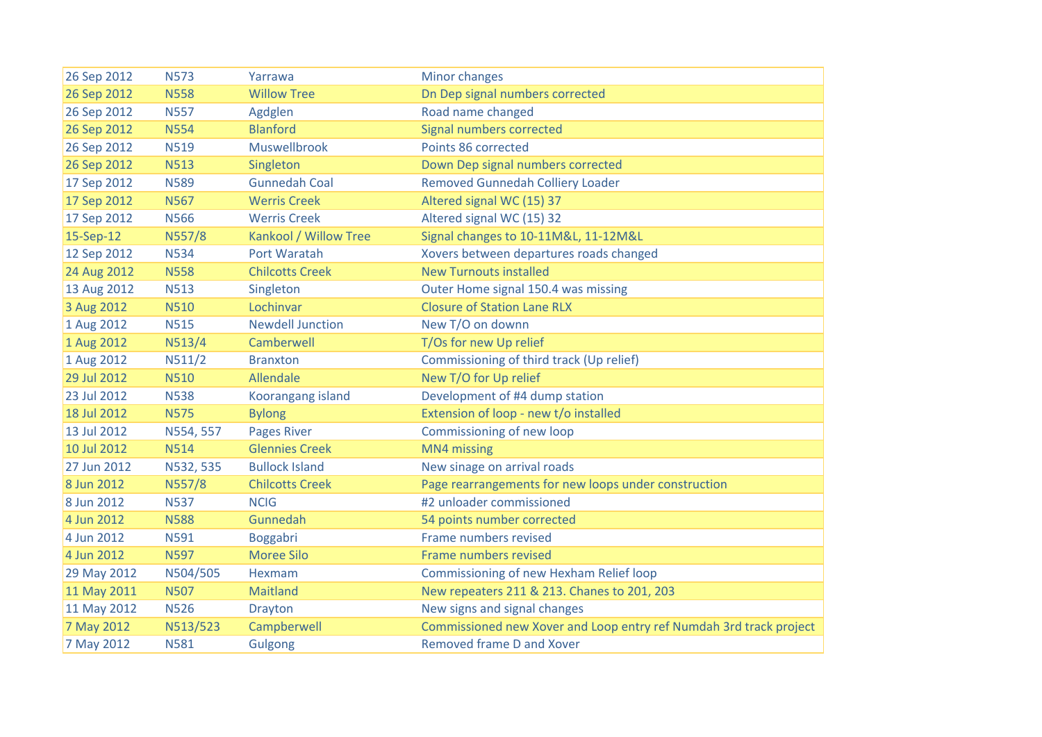| 26 Sep 2012 | <b>N573</b> | Yarrawa                 | <b>Minor changes</b>                                               |
|-------------|-------------|-------------------------|--------------------------------------------------------------------|
| 26 Sep 2012 | <b>N558</b> | <b>Willow Tree</b>      | Dn Dep signal numbers corrected                                    |
| 26 Sep 2012 | <b>N557</b> | Agdglen                 | Road name changed                                                  |
| 26 Sep 2012 | <b>N554</b> | <b>Blanford</b>         | Signal numbers corrected                                           |
| 26 Sep 2012 | <b>N519</b> | Muswellbrook            | Points 86 corrected                                                |
| 26 Sep 2012 | <b>N513</b> | Singleton               | Down Dep signal numbers corrected                                  |
| 17 Sep 2012 | <b>N589</b> | <b>Gunnedah Coal</b>    | <b>Removed Gunnedah Colliery Loader</b>                            |
| 17 Sep 2012 | <b>N567</b> | <b>Werris Creek</b>     | Altered signal WC (15) 37                                          |
| 17 Sep 2012 | <b>N566</b> | <b>Werris Creek</b>     | Altered signal WC (15) 32                                          |
| 15-Sep-12   | N557/8      | Kankool / Willow Tree   | Signal changes to 10-11M&L, 11-12M&L                               |
| 12 Sep 2012 | <b>N534</b> | Port Waratah            | Xovers between departures roads changed                            |
| 24 Aug 2012 | <b>N558</b> | <b>Chilcotts Creek</b>  | <b>New Turnouts installed</b>                                      |
| 13 Aug 2012 | <b>N513</b> | Singleton               | Outer Home signal 150.4 was missing                                |
| 3 Aug 2012  | <b>N510</b> | Lochinvar               | <b>Closure of Station Lane RLX</b>                                 |
| 1 Aug 2012  | <b>N515</b> | <b>Newdell Junction</b> | New T/O on downn                                                   |
| 1 Aug 2012  | N513/4      | Camberwell              | T/Os for new Up relief                                             |
| 1 Aug 2012  | N511/2      | <b>Branxton</b>         | Commissioning of third track (Up relief)                           |
| 29 Jul 2012 | <b>N510</b> | Allendale               | New T/O for Up relief                                              |
| 23 Jul 2012 | <b>N538</b> | Koorangang island       | Development of #4 dump station                                     |
| 18 Jul 2012 | <b>N575</b> | <b>Bylong</b>           | Extension of loop - new t/o installed                              |
| 13 Jul 2012 | N554, 557   | <b>Pages River</b>      | Commissioning of new loop                                          |
| 10 Jul 2012 | <b>N514</b> | <b>Glennies Creek</b>   | MN4 missing                                                        |
| 27 Jun 2012 | N532, 535   | <b>Bullock Island</b>   | New sinage on arrival roads                                        |
| 8 Jun 2012  | N557/8      | <b>Chilcotts Creek</b>  | Page rearrangements for new loops under construction               |
| 8 Jun 2012  | <b>N537</b> | <b>NCIG</b>             | #2 unloader commissioned                                           |
| 4 Jun 2012  | <b>N588</b> | Gunnedah                | 54 points number corrected                                         |
| 4 Jun 2012  | <b>N591</b> | Boggabri                | Frame numbers revised                                              |
| 4 Jun 2012  | <b>N597</b> | <b>Moree Silo</b>       | Frame numbers revised                                              |
| 29 May 2012 | N504/505    | Hexmam                  | Commissioning of new Hexham Relief loop                            |
| 11 May 2011 | <b>N507</b> | Maitland                | New repeaters 211 & 213. Chanes to 201, 203                        |
| 11 May 2012 | <b>N526</b> | <b>Drayton</b>          | New signs and signal changes                                       |
| 7 May 2012  | N513/523    | Campberwell             | Commissioned new Xover and Loop entry ref Numdah 3rd track project |
| 7 May 2012  | <b>N581</b> | <b>Gulgong</b>          | Removed frame D and Xover                                          |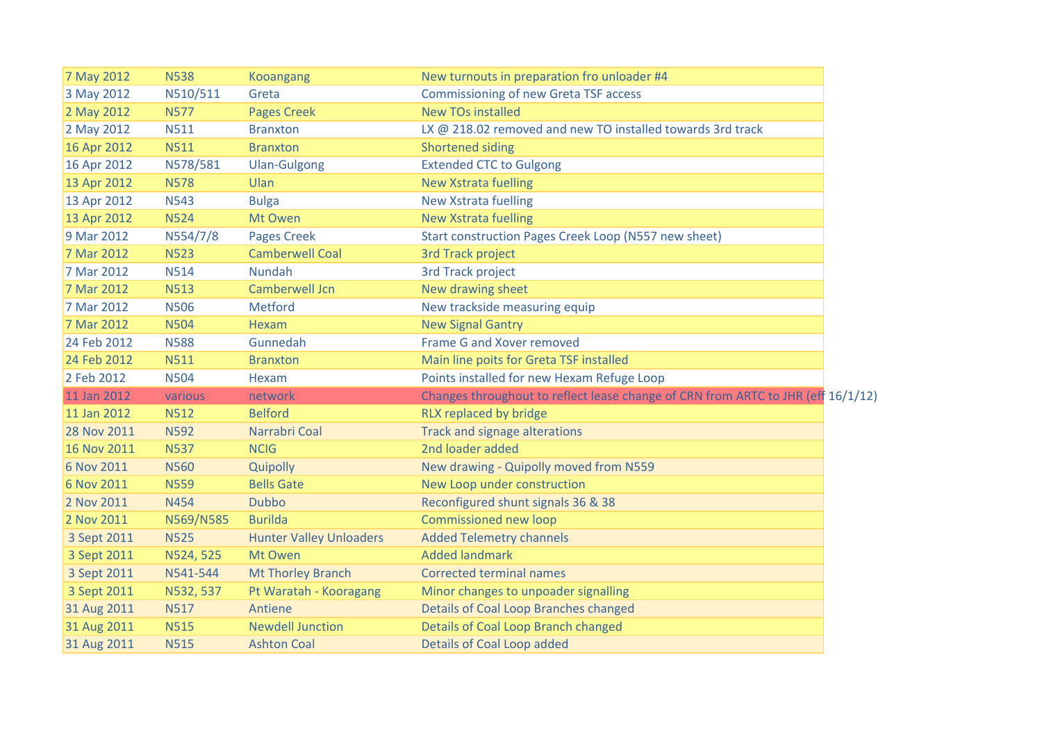| 7 May 2012  | <b>N538</b> | <b>Kooangang</b>               | New turnouts in preparation fro unloader #4                                      |  |
|-------------|-------------|--------------------------------|----------------------------------------------------------------------------------|--|
| 3 May 2012  | N510/511    | Greta                          | <b>Commissioning of new Greta TSF access</b>                                     |  |
| 2 May 2012  | <b>N577</b> | <b>Pages Creek</b>             | <b>New TOs installed</b>                                                         |  |
| 2 May 2012  | <b>N511</b> | <b>Branxton</b>                | LX @ 218.02 removed and new TO installed towards 3rd track                       |  |
| 16 Apr 2012 | <b>N511</b> | <b>Branxton</b>                | <b>Shortened siding</b>                                                          |  |
| 16 Apr 2012 | N578/581    | <b>Ulan-Gulgong</b>            | <b>Extended CTC to Gulgong</b>                                                   |  |
| 13 Apr 2012 | <b>N578</b> | Ulan                           | <b>New Xstrata fuelling</b>                                                      |  |
| 13 Apr 2012 | <b>N543</b> | <b>Bulga</b>                   | <b>New Xstrata fuelling</b>                                                      |  |
| 13 Apr 2012 | <b>N524</b> | Mt Owen                        | <b>New Xstrata fuelling</b>                                                      |  |
| 9 Mar 2012  | N554/7/8    | <b>Pages Creek</b>             | Start construction Pages Creek Loop (N557 new sheet)                             |  |
| 7 Mar 2012  | <b>N523</b> | <b>Camberwell Coal</b>         | <b>3rd Track project</b>                                                         |  |
| 7 Mar 2012  | <b>N514</b> | <b>Nundah</b>                  | <b>3rd Track project</b>                                                         |  |
| 7 Mar 2012  | <b>N513</b> | Camberwell Jcn                 | New drawing sheet                                                                |  |
| 7 Mar 2012  | <b>N506</b> | Metford                        | New trackside measuring equip                                                    |  |
| 7 Mar 2012  | <b>N504</b> | Hexam                          | <b>New Signal Gantry</b>                                                         |  |
| 24 Feb 2012 | <b>N588</b> | Gunnedah                       | Frame G and Xover removed                                                        |  |
| 24 Feb 2012 | <b>N511</b> | <b>Branxton</b>                | Main line poits for Greta TSF installed                                          |  |
| 2 Feb 2012  | <b>N504</b> | Hexam                          | Points installed for new Hexam Refuge Loop                                       |  |
| 11 Jan 2012 | various     | network                        | Changes throughout to reflect lease change of CRN from ARTC to JHR (eff 16/1/12) |  |
| 11 Jan 2012 | <b>N512</b> | <b>Belford</b>                 | RLX replaced by bridge                                                           |  |
| 28 Nov 2011 | <b>N592</b> | Narrabri Coal                  | <b>Track and signage alterations</b>                                             |  |
| 16 Nov 2011 | <b>N537</b> | <b>NCIG</b>                    | 2nd loader added                                                                 |  |
| 6 Nov 2011  | <b>N560</b> | Quipolly                       | New drawing - Quipolly moved from N559                                           |  |
| 6 Nov 2011  | <b>N559</b> | <b>Bells Gate</b>              | New Loop under construction                                                      |  |
| 2 Nov 2011  | <b>N454</b> | <b>Dubbo</b>                   | Reconfigured shunt signals 36 & 38                                               |  |
| 2 Nov 2011  | N569/N585   | <b>Burilda</b>                 | Commissioned new loop                                                            |  |
| 3 Sept 2011 | <b>N525</b> | <b>Hunter Valley Unloaders</b> | <b>Added Telemetry channels</b>                                                  |  |
| 3 Sept 2011 | N524, 525   | Mt Owen                        | <b>Added landmark</b>                                                            |  |
| 3 Sept 2011 | N541-544    | <b>Mt Thorley Branch</b>       | <b>Corrected terminal names</b>                                                  |  |
| 3 Sept 2011 | N532, 537   | Pt Waratah - Kooragang         | Minor changes to unpoader signalling                                             |  |
| 31 Aug 2011 | <b>N517</b> | Antiene                        | Details of Coal Loop Branches changed                                            |  |
| 31 Aug 2011 | <b>N515</b> | <b>Newdell Junction</b>        | Details of Coal Loop Branch changed                                              |  |
| 31 Aug 2011 | <b>N515</b> | <b>Ashton Coal</b>             | <b>Details of Coal Loop added</b>                                                |  |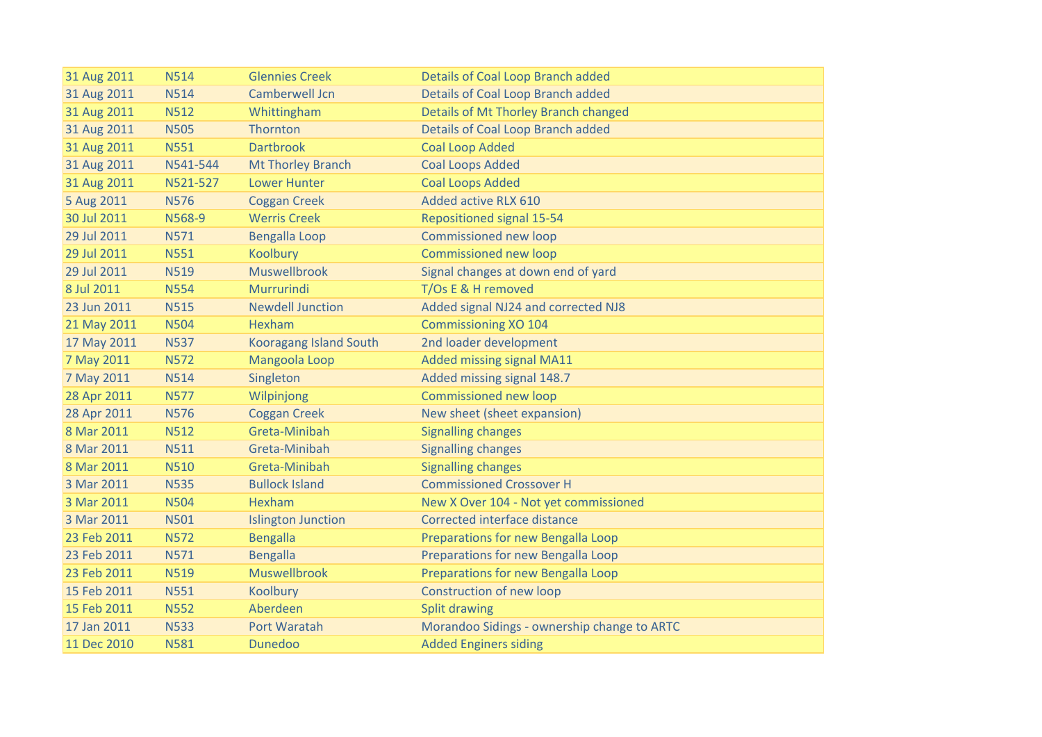| 31 Aug 2011 | <b>N514</b> | <b>Glennies Creek</b>         | Details of Coal Loop Branch added           |
|-------------|-------------|-------------------------------|---------------------------------------------|
| 31 Aug 2011 | <b>N514</b> | Camberwell Jcn                | Details of Coal Loop Branch added           |
| 31 Aug 2011 | <b>N512</b> | Whittingham                   | Details of Mt Thorley Branch changed        |
| 31 Aug 2011 | <b>N505</b> | Thornton                      | <b>Details of Coal Loop Branch added</b>    |
| 31 Aug 2011 | <b>N551</b> | <b>Dartbrook</b>              | <b>Coal Loop Added</b>                      |
| 31 Aug 2011 | N541-544    | <b>Mt Thorley Branch</b>      | <b>Coal Loops Added</b>                     |
| 31 Aug 2011 | N521-527    | <b>Lower Hunter</b>           | <b>Coal Loops Added</b>                     |
| 5 Aug 2011  | <b>N576</b> | <b>Coggan Creek</b>           | Added active RLX 610                        |
| 30 Jul 2011 | N568-9      | <b>Werris Creek</b>           | <b>Repositioned signal 15-54</b>            |
| 29 Jul 2011 | <b>N571</b> | <b>Bengalla Loop</b>          | Commissioned new loop                       |
| 29 Jul 2011 | <b>N551</b> | Koolbury                      | <b>Commissioned new loop</b>                |
| 29 Jul 2011 | <b>N519</b> | <b>Muswellbrook</b>           | Signal changes at down end of yard          |
| 8 Jul 2011  | <b>N554</b> | Murrurindi                    | T/Os E & H removed                          |
| 23 Jun 2011 | <b>N515</b> | <b>Newdell Junction</b>       | Added signal NJ24 and corrected NJ8         |
| 21 May 2011 | <b>N504</b> | Hexham                        | <b>Commissioning XO 104</b>                 |
| 17 May 2011 | <b>N537</b> | <b>Kooragang Island South</b> | 2nd loader development                      |
| 7 May 2011  | <b>N572</b> | Mangoola Loop                 | <b>Added missing signal MA11</b>            |
| 7 May 2011  | <b>N514</b> | Singleton                     | Added missing signal 148.7                  |
| 28 Apr 2011 | <b>N577</b> | Wilpinjong                    | Commissioned new loop                       |
| 28 Apr 2011 | <b>N576</b> | <b>Coggan Creek</b>           | New sheet (sheet expansion)                 |
| 8 Mar 2011  | <b>N512</b> | Greta-Minibah                 | <b>Signalling changes</b>                   |
| 8 Mar 2011  | <b>N511</b> | Greta-Minibah                 | <b>Signalling changes</b>                   |
| 8 Mar 2011  | <b>N510</b> | Greta-Minibah                 | <b>Signalling changes</b>                   |
| 3 Mar 2011  | <b>N535</b> | <b>Bullock Island</b>         | <b>Commissioned Crossover H</b>             |
| 3 Mar 2011  | <b>N504</b> | Hexham                        | New X Over 104 - Not yet commissioned       |
| 3 Mar 2011  | <b>N501</b> | <b>Islington Junction</b>     | Corrected interface distance                |
| 23 Feb 2011 | <b>N572</b> | <b>Bengalla</b>               | Preparations for new Bengalla Loop          |
| 23 Feb 2011 | <b>N571</b> | <b>Bengalla</b>               | Preparations for new Bengalla Loop          |
| 23 Feb 2011 | <b>N519</b> | <b>Muswellbrook</b>           | Preparations for new Bengalla Loop          |
| 15 Feb 2011 | <b>N551</b> | Koolbury                      | <b>Construction of new loop</b>             |
| 15 Feb 2011 | <b>N552</b> | Aberdeen                      | <b>Split drawing</b>                        |
| 17 Jan 2011 | <b>N533</b> | Port Waratah                  | Morandoo Sidings - ownership change to ARTC |
| 11 Dec 2010 | <b>N581</b> | <b>Dunedoo</b>                | <b>Added Enginers siding</b>                |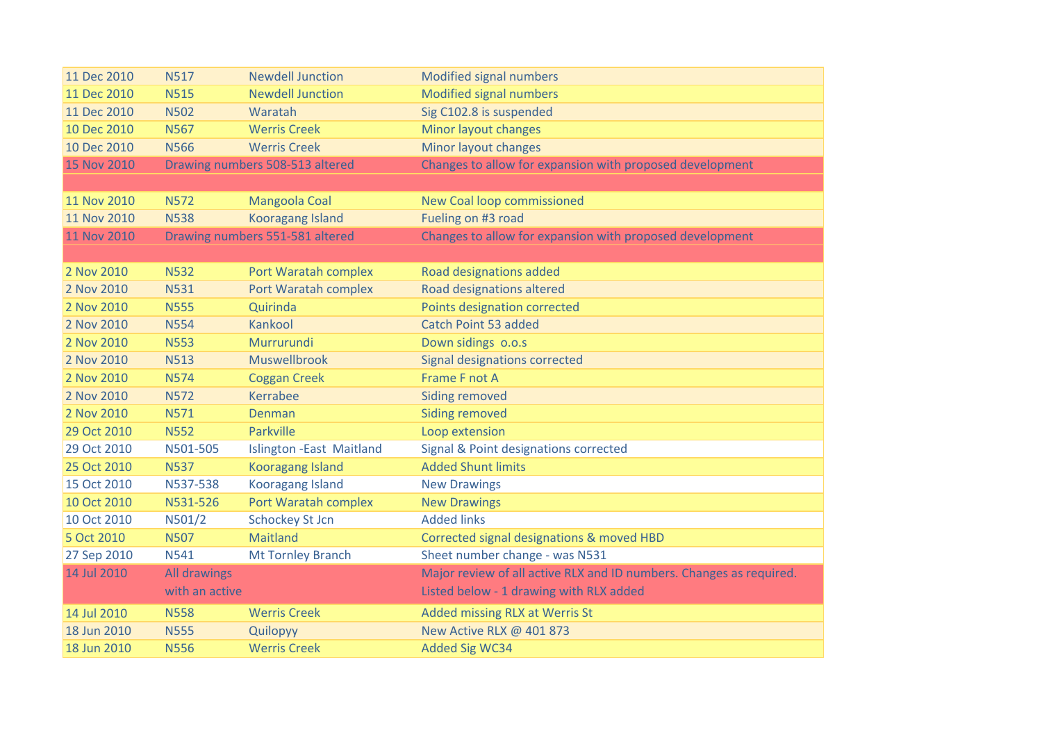| 11 Dec 2010        | <b>N517</b>         | <b>Newdell Junction</b>         | Modified signal numbers                                             |
|--------------------|---------------------|---------------------------------|---------------------------------------------------------------------|
| 11 Dec 2010        | <b>N515</b>         | <b>Newdell Junction</b>         | Modified signal numbers                                             |
| 11 Dec 2010        | <b>N502</b>         | Waratah                         | Sig C102.8 is suspended                                             |
| 10 Dec 2010        | <b>N567</b>         | <b>Werris Creek</b>             | Minor layout changes                                                |
| 10 Dec 2010        | <b>N566</b>         | <b>Werris Creek</b>             | Minor layout changes                                                |
| 15 Nov 2010        |                     | Drawing numbers 508-513 altered | Changes to allow for expansion with proposed development            |
|                    |                     |                                 |                                                                     |
| 11 Nov 2010        | <b>N572</b>         | Mangoola Coal                   | New Coal loop commissioned                                          |
| 11 Nov 2010        | <b>N538</b>         | <b>Kooragang Island</b>         | Fueling on #3 road                                                  |
| <b>11 Nov 2010</b> |                     | Drawing numbers 551-581 altered | Changes to allow for expansion with proposed development            |
|                    |                     |                                 |                                                                     |
| 2 Nov 2010         | <b>N532</b>         | Port Waratah complex            | Road designations added                                             |
| 2 Nov 2010         | <b>N531</b>         | Port Waratah complex            | Road designations altered                                           |
| 2 Nov 2010         | <b>N555</b>         | Quirinda                        | Points designation corrected                                        |
| 2 Nov 2010         | <b>N554</b>         | Kankool                         | Catch Point 53 added                                                |
| 2 Nov 2010         | <b>N553</b>         | Murrurundi                      | Down sidings o.o.s                                                  |
| 2 Nov 2010         | <b>N513</b>         | Muswellbrook                    | <b>Signal designations corrected</b>                                |
| 2 Nov 2010         | <b>N574</b>         | <b>Coggan Creek</b>             | Frame F not A                                                       |
| 2 Nov 2010         | <b>N572</b>         | Kerrabee                        | <b>Siding removed</b>                                               |
| 2 Nov 2010         | <b>N571</b>         | Denman                          | <b>Siding removed</b>                                               |
| 29 Oct 2010        | <b>N552</b>         | Parkville                       | Loop extension                                                      |
| 29 Oct 2010        | N501-505            | <b>Islington -East Maitland</b> | Signal & Point designations corrected                               |
| 25 Oct 2010        | <b>N537</b>         | <b>Kooragang Island</b>         | <b>Added Shunt limits</b>                                           |
| 15 Oct 2010        | N537-538            | <b>Kooragang Island</b>         | <b>New Drawings</b>                                                 |
| 10 Oct 2010        | N531-526            | Port Waratah complex            | <b>New Drawings</b>                                                 |
| 10 Oct 2010        | N501/2              | <b>Schockey St Jcn</b>          | <b>Added links</b>                                                  |
| 5 Oct 2010         | <b>N507</b>         | Maitland                        | Corrected signal designations & moved HBD                           |
| 27 Sep 2010        | <b>N541</b>         | <b>Mt Tornley Branch</b>        | Sheet number change - was N531                                      |
| 14 Jul 2010        | <b>All drawings</b> |                                 | Major review of all active RLX and ID numbers. Changes as required. |
|                    | with an active      |                                 | Listed below - 1 drawing with RLX added                             |
| 14 Jul 2010        | <b>N558</b>         | <b>Werris Creek</b>             | Added missing RLX at Werris St                                      |
| 18 Jun 2010        | <b>N555</b>         | Quilopyy                        | New Active RLX @ 401 873                                            |
| 18 Jun 2010        | <b>N556</b>         | <b>Werris Creek</b>             | <b>Added Sig WC34</b>                                               |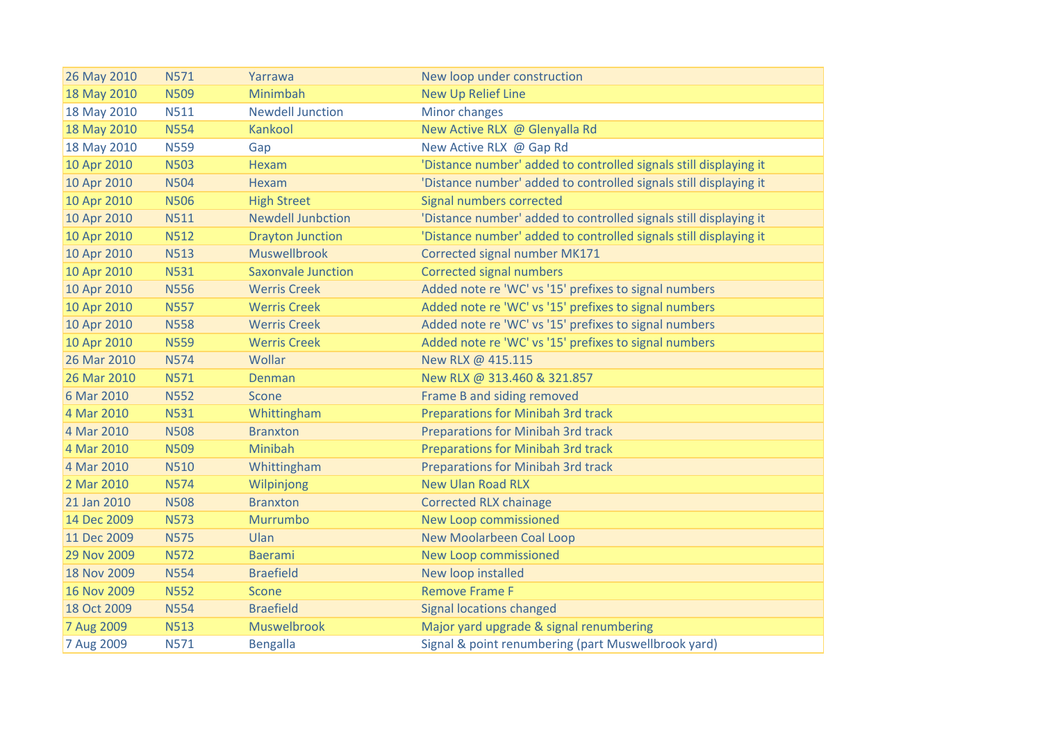| 26 May 2010 | <b>N571</b> | Yarrawa                   | New loop under construction                                       |
|-------------|-------------|---------------------------|-------------------------------------------------------------------|
| 18 May 2010 | <b>N509</b> | Minimbah                  | <b>New Up Relief Line</b>                                         |
| 18 May 2010 | <b>N511</b> | <b>Newdell Junction</b>   | Minor changes                                                     |
| 18 May 2010 | <b>N554</b> | Kankool                   | New Active RLX @ Glenyalla Rd                                     |
| 18 May 2010 | <b>N559</b> | Gap                       | New Active RLX @ Gap Rd                                           |
| 10 Apr 2010 | <b>N503</b> | Hexam                     | 'Distance number' added to controlled signals still displaying it |
| 10 Apr 2010 | <b>N504</b> | Hexam                     | 'Distance number' added to controlled signals still displaying it |
| 10 Apr 2010 | <b>N506</b> | <b>High Street</b>        | Signal numbers corrected                                          |
| 10 Apr 2010 | <b>N511</b> | <b>Newdell Junbction</b>  | 'Distance number' added to controlled signals still displaying it |
| 10 Apr 2010 | <b>N512</b> | <b>Drayton Junction</b>   | 'Distance number' added to controlled signals still displaying it |
| 10 Apr 2010 | <b>N513</b> | Muswellbrook              | Corrected signal number MK171                                     |
| 10 Apr 2010 | <b>N531</b> | <b>Saxonvale Junction</b> | <b>Corrected signal numbers</b>                                   |
| 10 Apr 2010 | <b>N556</b> | <b>Werris Creek</b>       | Added note re 'WC' vs '15' prefixes to signal numbers             |
| 10 Apr 2010 | <b>N557</b> | <b>Werris Creek</b>       | Added note re 'WC' vs '15' prefixes to signal numbers             |
| 10 Apr 2010 | <b>N558</b> | <b>Werris Creek</b>       | Added note re 'WC' vs '15' prefixes to signal numbers             |
| 10 Apr 2010 | <b>N559</b> | <b>Werris Creek</b>       | Added note re 'WC' vs '15' prefixes to signal numbers             |
| 26 Mar 2010 | <b>N574</b> | Wollar                    | New RLX @ 415.115                                                 |
| 26 Mar 2010 | <b>N571</b> | Denman                    | New RLX @ 313.460 & 321.857                                       |
| 6 Mar 2010  | <b>N552</b> | Scone                     | Frame B and siding removed                                        |
| 4 Mar 2010  | <b>N531</b> | Whittingham               | <b>Preparations for Minibah 3rd track</b>                         |
| 4 Mar 2010  | <b>N508</b> | <b>Branxton</b>           | <b>Preparations for Minibah 3rd track</b>                         |
| 4 Mar 2010  | <b>N509</b> | Minibah                   | <b>Preparations for Minibah 3rd track</b>                         |
| 4 Mar 2010  | <b>N510</b> | Whittingham               | <b>Preparations for Minibah 3rd track</b>                         |
| 2 Mar 2010  | <b>N574</b> | Wilpinjong                | <b>New Ulan Road RLX</b>                                          |
| 21 Jan 2010 | <b>N508</b> | <b>Branxton</b>           | <b>Corrected RLX chainage</b>                                     |
| 14 Dec 2009 | <b>N573</b> | Murrumbo                  | New Loop commissioned                                             |
| 11 Dec 2009 | <b>N575</b> | Ulan                      | <b>New Moolarbeen Coal Loop</b>                                   |
| 29 Nov 2009 | <b>N572</b> | <b>Baerami</b>            | <b>New Loop commissioned</b>                                      |
| 18 Nov 2009 | <b>N554</b> | <b>Braefield</b>          | New loop installed                                                |
| 16 Nov 2009 | <b>N552</b> | <b>Scone</b>              | <b>Remove Frame F</b>                                             |
| 18 Oct 2009 | <b>N554</b> | <b>Braefield</b>          | <b>Signal locations changed</b>                                   |
| 7 Aug 2009  | <b>N513</b> | Muswelbrook               | Major yard upgrade & signal renumbering                           |
| 7 Aug 2009  | <b>N571</b> | <b>Bengalla</b>           | Signal & point renumbering (part Muswellbrook yard)               |